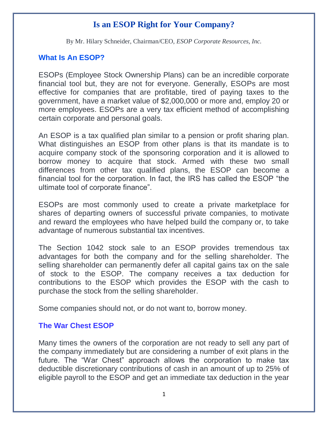# **Is an ESOP Right for Your Company?**

By Mr. Hilary Schneider, Chairman/CEO, *ESOP Corporate Resources, Inc.*

#### **What Is An ESOP?**

ESOPs (Employee Stock Ownership Plans) can be an incredible corporate financial tool but, they are not for everyone. Generally, ESOPs are most effective for companies that are profitable, tired of paying taxes to the government, have a market value of \$2,000,000 or more and, employ 20 or more employees. ESOPs are a very tax efficient method of accomplishing certain corporate and personal goals.

An ESOP is a tax qualified plan similar to a pension or profit sharing plan. What distinguishes an ESOP from other plans is that its mandate is to acquire company stock of the sponsoring corporation and it is allowed to borrow money to acquire that stock. Armed with these two small differences from other tax qualified plans, the ESOP can become a financial tool for the corporation. In fact, the IRS has called the ESOP "the ultimate tool of corporate finance".

ESOPs are most commonly used to create a private marketplace for shares of departing owners of successful private companies, to motivate and reward the employees who have helped build the company or, to take advantage of numerous substantial tax incentives.

The Section 1042 stock sale to an ESOP provides tremendous tax advantages for both the company and for the selling shareholder. The selling shareholder can permanently defer all capital gains tax on the sale of stock to the ESOP. The company receives a tax deduction for contributions to the ESOP which provides the ESOP with the cash to purchase the stock from the selling shareholder.

Some companies should not, or do not want to, borrow money.

#### **The War Chest ESOP**

Many times the owners of the corporation are not ready to sell any part of the company immediately but are considering a number of exit plans in the future. The "War Chest" approach allows the corporation to make tax deductible discretionary contributions of cash in an amount of up to 25% of eligible payroll to the ESOP and get an immediate tax deduction in the year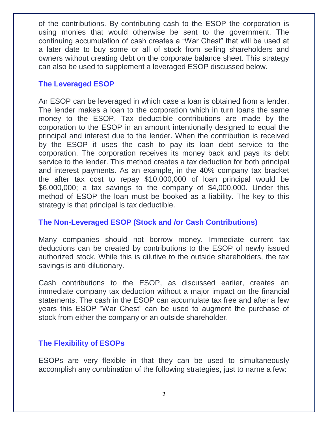of the contributions. By contributing cash to the ESOP the corporation is using monies that would otherwise be sent to the government. The continuing accumulation of cash creates a "War Chest" that will be used at a later date to buy some or all of stock from selling shareholders and owners without creating debt on the corporate balance sheet. This strategy can also be used to supplement a leveraged ESOP discussed below.

#### **The Leveraged ESOP**

An ESOP can be leveraged in which case a loan is obtained from a lender. The lender makes a loan to the corporation which in turn loans the same money to the ESOP. Tax deductible contributions are made by the corporation to the ESOP in an amount intentionally designed to equal the principal and interest due to the lender. When the contribution is received by the ESOP it uses the cash to pay its loan debt service to the corporation. The corporation receives its money back and pays its debt service to the lender. This method creates a tax deduction for both principal and interest payments. As an example, in the 40% company tax bracket the after tax cost to repay \$10,000,000 of loan principal would be \$6,000,000; a tax savings to the company of \$4,000,000. Under this method of ESOP the loan must be booked as a liability. The key to this strategy is that principal is tax deductible.

#### **The Non-Leveraged ESOP (Stock and /or Cash Contributions)**

Many companies should not borrow money. Immediate current tax deductions can be created by contributions to the ESOP of newly issued authorized stock. While this is dilutive to the outside shareholders, the tax savings is anti-dilutionary.

Cash contributions to the ESOP, as discussed earlier, creates an immediate company tax deduction without a major impact on the financial statements. The cash in the ESOP can accumulate tax free and after a few years this ESOP "War Chest" can be used to augment the purchase of stock from either the company or an outside shareholder.

#### **The Flexibility of ESOPs**

ESOPs are very flexible in that they can be used to simultaneously accomplish any combination of the following strategies, just to name a few: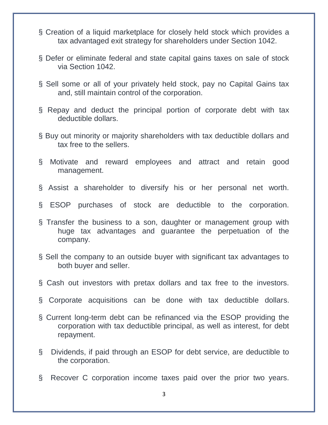- § Creation of a liquid marketplace for closely held stock which provides a tax advantaged exit strategy for shareholders under Section 1042.
- § Defer or eliminate federal and state capital gains taxes on sale of stock via Section 1042.
- § Sell some or all of your privately held stock, pay no Capital Gains tax and, still maintain control of the corporation.
- § Repay and deduct the principal portion of corporate debt with tax deductible dollars.
- § Buy out minority or majority shareholders with tax deductible dollars and tax free to the sellers.
- § Motivate and reward employees and attract and retain good management.
- § Assist a shareholder to diversify his or her personal net worth.
- § ESOP purchases of stock are deductible to the corporation.
- § Transfer the business to a son, daughter or management group with huge tax advantages and guarantee the perpetuation of the company.
- § Sell the company to an outside buyer with significant tax advantages to both buyer and seller.
- § Cash out investors with pretax dollars and tax free to the investors.
- § Corporate acquisitions can be done with tax deductible dollars.
- § Current long-term debt can be refinanced via the ESOP providing the corporation with tax deductible principal, as well as interest, for debt repayment.
- § Dividends, if paid through an ESOP for debt service, are deductible to the corporation.
- § Recover C corporation income taxes paid over the prior two years.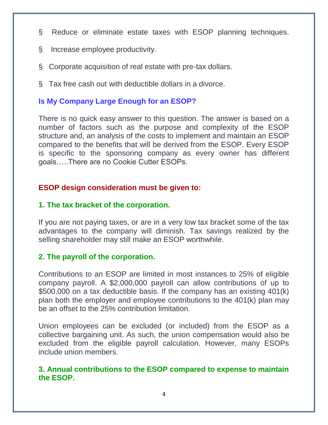- § Reduce or eliminate estate taxes with ESOP planning techniques.
- § Increase employee productivity.
- § Corporate acquisition of real estate with pre-tax dollars.
- § Tax free cash out with deductible dollars in a divorce.

### **Is My Company Large Enough for an ESOP?**

There is no quick easy answer to this question. The answer is based on a number of factors such as the purpose and complexity of the ESOP structure and, an analysis of the costs to implement and maintain an ESOP compared to the benefits that will be derived from the ESOP. Every ESOP is specific to the sponsoring company as every owner has different goals…..There are no Cookie Cutter ESOPs.

#### **ESOP design consideration must be given to:**

#### **1. The tax bracket of the corporation.**

If you are not paying taxes, or are in a very low tax bracket some of the tax advantages to the company will diminish. Tax savings realized by the selling shareholder may still make an ESOP worthwhile.

#### **2. The payroll of the corporation.**

Contributions to an ESOP are limited in most instances to 25% of eligible company payroll. A \$2,000,000 payroll can allow contributions of up to \$500,000 on a tax deductible basis. If the company has an existing 401(k) plan both the employer and employee contributions to the 401(k) plan may be an offset to the 25% contribution limitation.

Union employees can be excluded (or included) from the ESOP as a collective bargaining unit. As such, the union compensation would also be excluded from the eligible payroll calculation. However, many ESOPs include union members.

#### **3. Annual contributions to the ESOP compared to expense to maintain the ESOP.**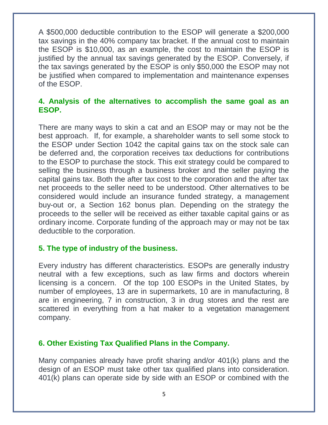A \$500,000 deductible contribution to the ESOP will generate a \$200,000 tax savings in the 40% company tax bracket. If the annual cost to maintain the ESOP is \$10,000, as an example, the cost to maintain the ESOP is justified by the annual tax savings generated by the ESOP. Conversely, if the tax savings generated by the ESOP is only \$50,000 the ESOP may not be justified when compared to implementation and maintenance expenses of the ESOP.

#### **4. Analysis of the alternatives to accomplish the same goal as an ESOP.**

There are many ways to skin a cat and an ESOP may or may not be the best approach. If, for example, a shareholder wants to sell some stock to the ESOP under Section 1042 the capital gains tax on the stock sale can be deferred and, the corporation receives tax deductions for contributions to the ESOP to purchase the stock. This exit strategy could be compared to selling the business through a business broker and the seller paying the capital gains tax. Both the after tax cost to the corporation and the after tax net proceeds to the seller need to be understood. Other alternatives to be considered would include an insurance funded strategy, a management buy-out or, a Section 162 bonus plan. Depending on the strategy the proceeds to the seller will be received as either taxable capital gains or as ordinary income. Corporate funding of the approach may or may not be tax deductible to the corporation.

#### **5. The type of industry of the business.**

Every industry has different characteristics. ESOPs are generally industry neutral with a few exceptions, such as law firms and doctors wherein licensing is a concern. Of the top 100 ESOPs in the United States, by number of employees, 13 are in supermarkets, 10 are in manufacturing, 8 are in engineering, 7 in construction, 3 in drug stores and the rest are scattered in everything from a hat maker to a vegetation management company.

### **6. Other Existing Tax Qualified Plans in the Company.**

Many companies already have profit sharing and/or 401(k) plans and the design of an ESOP must take other tax qualified plans into consideration. 401(k) plans can operate side by side with an ESOP or combined with the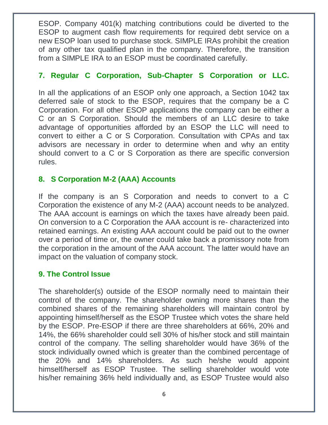ESOP. Company 401(k) matching contributions could be diverted to the ESOP to augment cash flow requirements for required debt service on a new ESOP loan used to purchase stock. SIMPLE IRAs prohibit the creation of any other tax qualified plan in the company. Therefore, the transition from a SIMPLE IRA to an ESOP must be coordinated carefully.

### **7. Regular C Corporation, Sub-Chapter S Corporation or LLC.**

In all the applications of an ESOP only one approach, a Section 1042 tax deferred sale of stock to the ESOP, requires that the company be a C Corporation. For all other ESOP applications the company can be either a C or an S Corporation. Should the members of an LLC desire to take advantage of opportunities afforded by an ESOP the LLC will need to convert to either a C or S Corporation. Consultation with CPAs and tax advisors are necessary in order to determine when and why an entity should convert to a C or S Corporation as there are specific conversion rules.

## **8. S Corporation M-2 (AAA) Accounts**

If the company is an S Corporation and needs to convert to a C Corporation the existence of any M-2 (AAA) account needs to be analyzed. The AAA account is earnings on which the taxes have already been paid. On conversion to a C Corporation the AAA account is re- characterized into retained earnings. An existing AAA account could be paid out to the owner over a period of time or, the owner could take back a promissory note from the corporation in the amount of the AAA account. The latter would have an impact on the valuation of company stock.

### **9. The Control Issue**

The shareholder(s) outside of the ESOP normally need to maintain their control of the company. The shareholder owning more shares than the combined shares of the remaining shareholders will maintain control by appointing himself/herself as the ESOP Trustee which votes the share held by the ESOP. Pre-ESOP if there are three shareholders at 66%, 20% and 14%, the 66% shareholder could sell 30% of his/her stock and still maintain control of the company. The selling shareholder would have 36% of the stock individually owned which is greater than the combined percentage of the 20% and 14% shareholders. As such he/she would appoint himself/herself as ESOP Trustee. The selling shareholder would vote his/her remaining 36% held individually and, as ESOP Trustee would also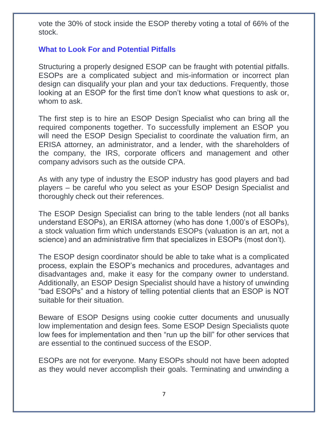vote the 30% of stock inside the ESOP thereby voting a total of 66% of the stock.

### **What to Look For and Potential Pitfalls**

Structuring a properly designed ESOP can be fraught with potential pitfalls. ESOPs are a complicated subject and mis-information or incorrect plan design can disqualify your plan and your tax deductions. Frequently, those looking at an ESOP for the first time don't know what questions to ask or, whom to ask.

The first step is to hire an ESOP Design Specialist who can bring all the required components together. To successfully implement an ESOP you will need the ESOP Design Specialist to coordinate the valuation firm, an ERISA attorney, an administrator, and a lender, with the shareholders of the company, the IRS, corporate officers and management and other company advisors such as the outside CPA.

As with any type of industry the ESOP industry has good players and bad players – be careful who you select as your ESOP Design Specialist and thoroughly check out their references.

The ESOP Design Specialist can bring to the table lenders (not all banks understand ESOPs), an ERISA attorney (who has done 1,000's of ESOPs), a stock valuation firm which understands ESOPs (valuation is an art, not a science) and an administrative firm that specializes in ESOPs (most don't).

The ESOP design coordinator should be able to take what is a complicated process, explain the ESOP's mechanics and procedures, advantages and disadvantages and, make it easy for the company owner to understand. Additionally, an ESOP Design Specialist should have a history of unwinding "bad ESOPs" and a history of telling potential clients that an ESOP is NOT suitable for their situation.

Beware of ESOP Designs using cookie cutter documents and unusually low implementation and design fees. Some ESOP Design Specialists quote low fees for implementation and then "run up the bill" for other services that are essential to the continued success of the ESOP.

ESOPs are not for everyone. Many ESOPs should not have been adopted as they would never accomplish their goals. Terminating and unwinding a